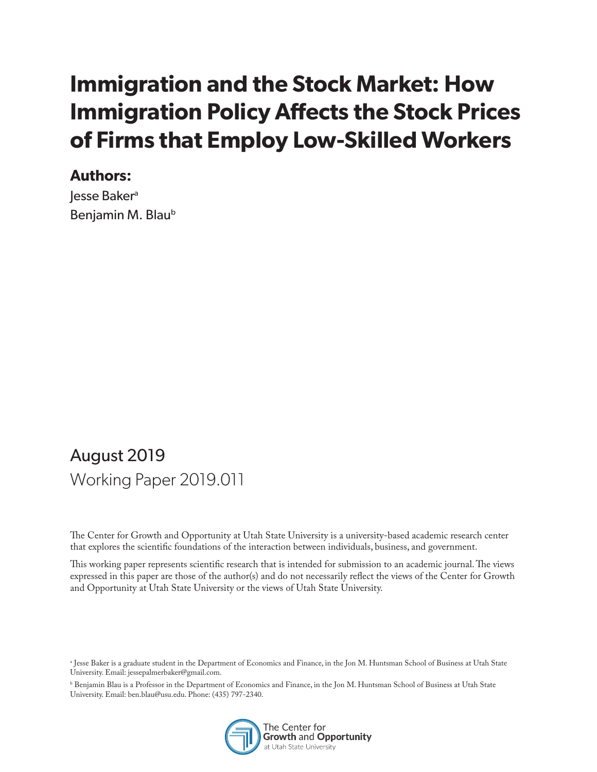# **Immigration and the Stock Market: How Immigration Policy Affects the Stock Prices of Firms that Employ Low-Skilled Workers**

### **Authors:**

Jesse Baker<sup>a</sup> Benjamin M. Blaub

## August 2019 Working Paper 2019.011

The Center for Growth and Opportunity at Utah State University is a university-based academic research center that explores the scientific foundations of the interaction between individuals, business, and government.

This working paper represents scientific research that is intended for submission to an academic journal. The views expressed in this paper are those of the author(s) and do not necessarily reflect the views of the Center for Growth and Opportunity at Utah State University or the views of Utah State University.

b Benjamin Blau is a Professor in the Department of Economics and Finance, in the Jon M. Huntsman School of Business at Utah State University. Email: ben.blau@usu.edu. Phone: (435) 797-2340.



a Jesse Baker is a graduate student in the Department of Economics and Finance, in the Jon M. Huntsman School of Business at Utah State University. Email: jessepalmerbaker@gmail.com.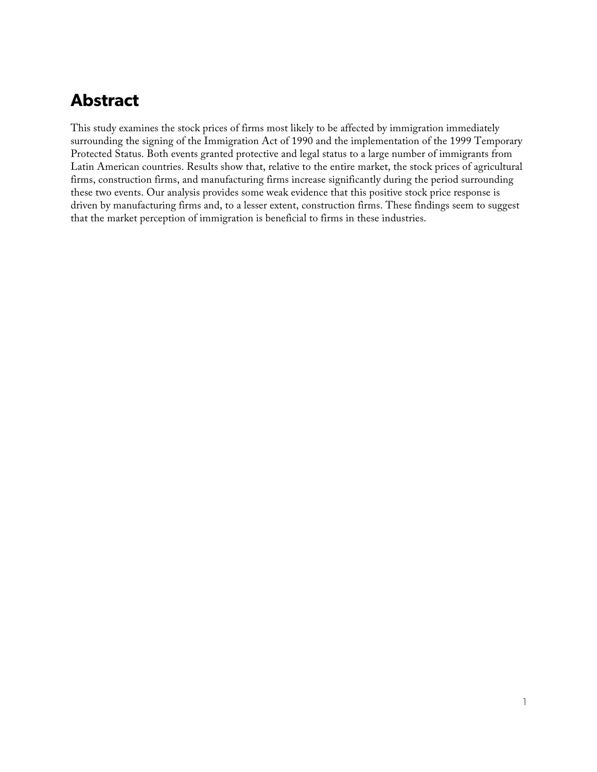## **Abstract**

This study examines the stock prices of firms most likely to be affected by immigration immediately surrounding the signing of the Immigration Act of 1990 and the implementation of the 1999 Temporary Protected Status. Both events granted protective and legal status to a large number of immigrants from Latin American countries. Results show that, relative to the entire market, the stock prices of agricultural firms, construction firms, and manufacturing firms increase significantly during the period surrounding these two events. Our analysis provides some weak evidence that this positive stock price response is driven by manufacturing firms and, to a lesser extent, construction firms. These findings seem to suggest that the market perception of immigration is beneficial to firms in these industries.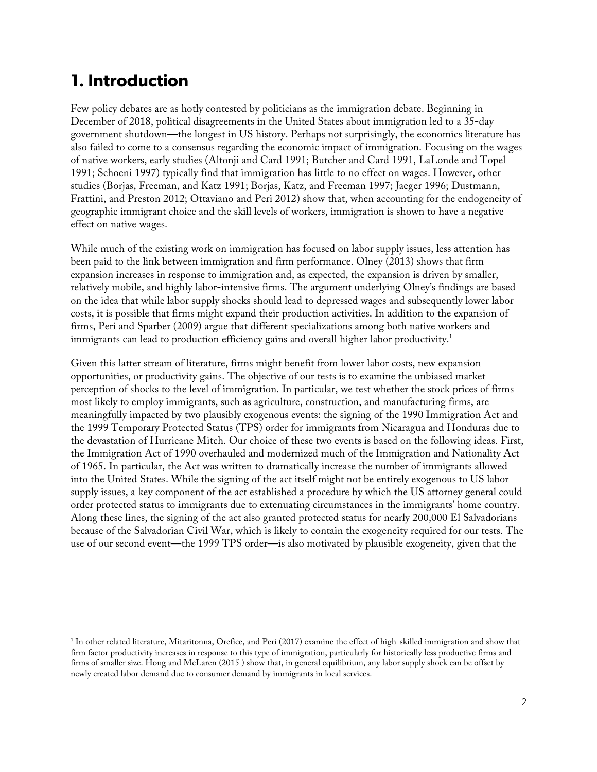## **1. Introduction**

I

Few policy debates are as hotly contested by politicians as the immigration debate. Beginning in December of 2018, political disagreements in the United States about immigration led to a 35-day government shutdown—the longest in US history. Perhaps not surprisingly, the economics literature has also failed to come to a consensus regarding the economic impact of immigration. Focusing on the wages of native workers, early studies (Altonji and Card 1991; Butcher and Card 1991, LaLonde and Topel 1991; Schoeni 1997) typically find that immigration has little to no effect on wages. However, other studies (Borjas, Freeman, and Katz 1991; Borjas, Katz, and Freeman 1997; Jaeger 1996; Dustmann, Frattini, and Preston 2012; Ottaviano and Peri 2012) show that, when accounting for the endogeneity of geographic immigrant choice and the skill levels of workers, immigration is shown to have a negative effect on native wages.

While much of the existing work on immigration has focused on labor supply issues, less attention has been paid to the link between immigration and firm performance. Olney (2013) shows that firm expansion increases in response to immigration and, as expected, the expansion is driven by smaller, relatively mobile, and highly labor-intensive firms. The argument underlying Olney's findings are based on the idea that while labor supply shocks should lead to depressed wages and subsequently lower labor costs, it is possible that firms might expand their production activities. In addition to the expansion of firms, Peri and Sparber (2009) argue that different specializations among both native workers and immigrants can lead to production efficiency gains and overall higher labor productivity.<sup>1</sup>

Given this latter stream of literature, firms might benefit from lower labor costs, new expansion opportunities, or productivity gains. The objective of our tests is to examine the unbiased market perception of shocks to the level of immigration. In particular, we test whether the stock prices of firms most likely to employ immigrants, such as agriculture, construction, and manufacturing firms, are meaningfully impacted by two plausibly exogenous events: the signing of the 1990 Immigration Act and the 1999 Temporary Protected Status (TPS) order for immigrants from Nicaragua and Honduras due to the devastation of Hurricane Mitch. Our choice of these two events is based on the following ideas. First, the Immigration Act of 1990 overhauled and modernized much of the Immigration and Nationality Act of 1965. In particular, the Act was written to dramatically increase the number of immigrants allowed into the United States. While the signing of the act itself might not be entirely exogenous to US labor supply issues, a key component of the act established a procedure by which the US attorney general could order protected status to immigrants due to extenuating circumstances in the immigrants' home country. Along these lines, the signing of the act also granted protected status for nearly 200,000 El Salvadorians because of the Salvadorian Civil War, which is likely to contain the exogeneity required for our tests. The use of our second event—the 1999 TPS order—is also motivated by plausible exogeneity, given that the

<sup>1</sup> In other related literature, Mitaritonna, Orefice, and Peri (2017) examine the effect of high-skilled immigration and show that firm factor productivity increases in response to this type of immigration, particularly for historically less productive firms and firms of smaller size. Hong and McLaren (2015 ) show that, in general equilibrium, any labor supply shock can be offset by newly created labor demand due to consumer demand by immigrants in local services.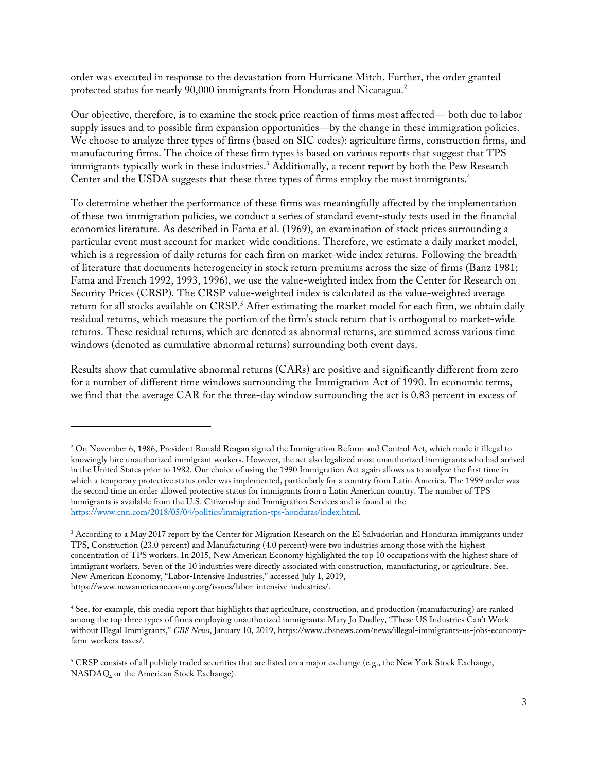order was executed in response to the devastation from Hurricane Mitch. Further, the order granted protected status for nearly 90,000 immigrants from Honduras and Nicaragua.<sup>2</sup>

Our objective, therefore, is to examine the stock price reaction of firms most affected— both due to labor supply issues and to possible firm expansion opportunities—by the change in these immigration policies. We choose to analyze three types of firms (based on SIC codes): agriculture firms, construction firms, and manufacturing firms. The choice of these firm types is based on various reports that suggest that TPS immigrants typically work in these industries.<sup>3</sup> Additionally, a recent report by both the Pew Research Center and the USDA suggests that these three types of firms employ the most immigrants.<sup>4</sup>

To determine whether the performance of these firms was meaningfully affected by the implementation of these two immigration policies, we conduct a series of standard event-study tests used in the financial economics literature. As described in Fama et al. (1969), an examination of stock prices surrounding a particular event must account for market-wide conditions. Therefore, we estimate a daily market model, which is a regression of daily returns for each firm on market-wide index returns. Following the breadth of literature that documents heterogeneity in stock return premiums across the size of firms (Banz 1981; Fama and French 1992, 1993, 1996), we use the value-weighted index from the Center for Research on Security Prices (CRSP). The CRSP value-weighted index is calculated as the value-weighted average return for all stocks available on  $CRSP<sup>5</sup>$  After estimating the market model for each firm, we obtain daily residual returns, which measure the portion of the firm's stock return that is orthogonal to market-wide returns. These residual returns, which are denoted as abnormal returns, are summed across various time windows (denoted as cumulative abnormal returns) surrounding both event days.

Results show that cumulative abnormal returns (CARs) are positive and significantly different from zero for a number of different time windows surrounding the Immigration Act of 1990. In economic terms, we find that the average CAR for the three-day window surrounding the act is 0.83 percent in excess of

I

<sup>&</sup>lt;sup>2</sup> On November 6, 1986, President Ronald Reagan signed the Immigration Reform and Control Act, which made it illegal to knowingly hire unauthorized immigrant workers. However, the act also legalized most unauthorized immigrants who had arrived in the United States prior to 1982. Our choice of using the 1990 Immigration Act again allows us to analyze the first time in which a temporary protective status order was implemented, particularly for a country from Latin America. The 1999 order was the second time an order allowed protective status for immigrants from a Latin American country. The number of TPS immigrants is available from the U.S. Citizenship and Immigration Services and is found at the https://www.cnn.com/2018/05/04/politics/immigration-tps-honduras/index.html.

<sup>&</sup>lt;sup>3</sup> According to a May 2017 report by the Center for Migration Research on the El Salvadorian and Honduran immigrants under TPS, Construction (23.0 percent) and Manufacturing (4.0 percent) were two industries among those with the highest concentration of TPS workers. In 2015, New American Economy highlighted the top 10 occupations with the highest share of immigrant workers. Seven of the 10 industries were directly associated with construction, manufacturing, or agriculture. See, New American Economy, "Labor-Intensive Industries," accessed July 1, 2019, https://www.newamericaneconomy.org/issues/labor-intensive-industries/.

<sup>4</sup> See, for example, this media report that highlights that agriculture, construction, and production (manufacturing) are ranked among the top three types of firms employing unauthorized immigrants: Mary Jo Dudley, "These US Industries Can't Work without Illegal Immigrants," *CBS News*, January 10, 2019, https://www.cbsnews.com/news/illegal-immigrants-us-jobs-economyfarm-workers-taxes/.

 $5$  CRSP consists of all publicly traded securities that are listed on a major exchange (e.g., the New York Stock Exchange, NASDAQ, or the American Stock Exchange).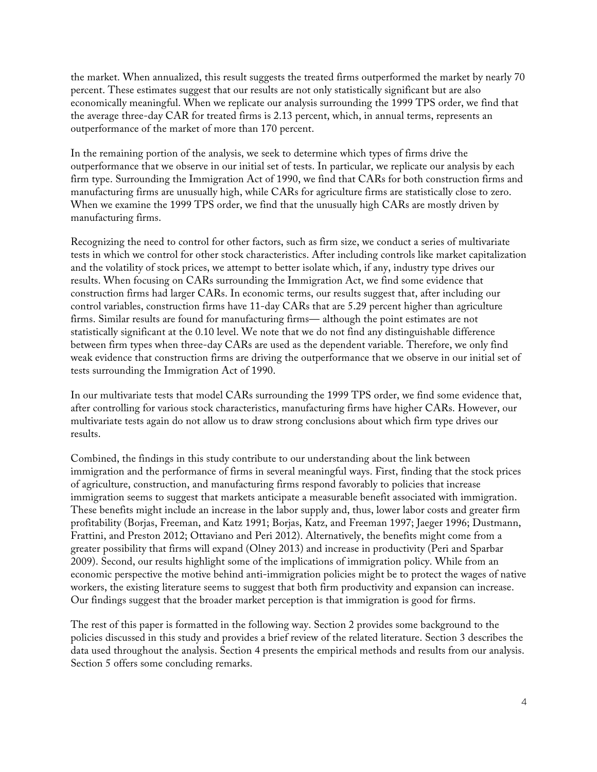the market. When annualized, this result suggests the treated firms outperformed the market by nearly 70 percent. These estimates suggest that our results are not only statistically significant but are also economically meaningful. When we replicate our analysis surrounding the 1999 TPS order, we find that the average three-day CAR for treated firms is 2.13 percent, which, in annual terms, represents an outperformance of the market of more than 170 percent.

In the remaining portion of the analysis, we seek to determine which types of firms drive the outperformance that we observe in our initial set of tests. In particular, we replicate our analysis by each firm type. Surrounding the Immigration Act of 1990, we find that CARs for both construction firms and manufacturing firms are unusually high, while CARs for agriculture firms are statistically close to zero. When we examine the 1999 TPS order, we find that the unusually high CARs are mostly driven by manufacturing firms.

Recognizing the need to control for other factors, such as firm size, we conduct a series of multivariate tests in which we control for other stock characteristics. After including controls like market capitalization and the volatility of stock prices, we attempt to better isolate which, if any, industry type drives our results. When focusing on CARs surrounding the Immigration Act, we find some evidence that construction firms had larger CARs. In economic terms, our results suggest that, after including our control variables, construction firms have 11-day CARs that are 5.29 percent higher than agriculture firms. Similar results are found for manufacturing firms— although the point estimates are not statistically significant at the 0.10 level. We note that we do not find any distinguishable difference between firm types when three-day CARs are used as the dependent variable. Therefore, we only find weak evidence that construction firms are driving the outperformance that we observe in our initial set of tests surrounding the Immigration Act of 1990.

In our multivariate tests that model CARs surrounding the 1999 TPS order, we find some evidence that, after controlling for various stock characteristics, manufacturing firms have higher CARs. However, our multivariate tests again do not allow us to draw strong conclusions about which firm type drives our results.

Combined, the findings in this study contribute to our understanding about the link between immigration and the performance of firms in several meaningful ways. First, finding that the stock prices of agriculture, construction, and manufacturing firms respond favorably to policies that increase immigration seems to suggest that markets anticipate a measurable benefit associated with immigration. These benefits might include an increase in the labor supply and, thus, lower labor costs and greater firm profitability (Borjas, Freeman, and Katz 1991; Borjas, Katz, and Freeman 1997; Jaeger 1996; Dustmann, Frattini, and Preston 2012; Ottaviano and Peri 2012). Alternatively, the benefits might come from a greater possibility that firms will expand (Olney 2013) and increase in productivity (Peri and Sparbar 2009). Second, our results highlight some of the implications of immigration policy. While from an economic perspective the motive behind anti-immigration policies might be to protect the wages of native workers, the existing literature seems to suggest that both firm productivity and expansion can increase. Our findings suggest that the broader market perception is that immigration is good for firms.

The rest of this paper is formatted in the following way. Section 2 provides some background to the policies discussed in this study and provides a brief review of the related literature. Section 3 describes the data used throughout the analysis. Section 4 presents the empirical methods and results from our analysis. Section 5 offers some concluding remarks.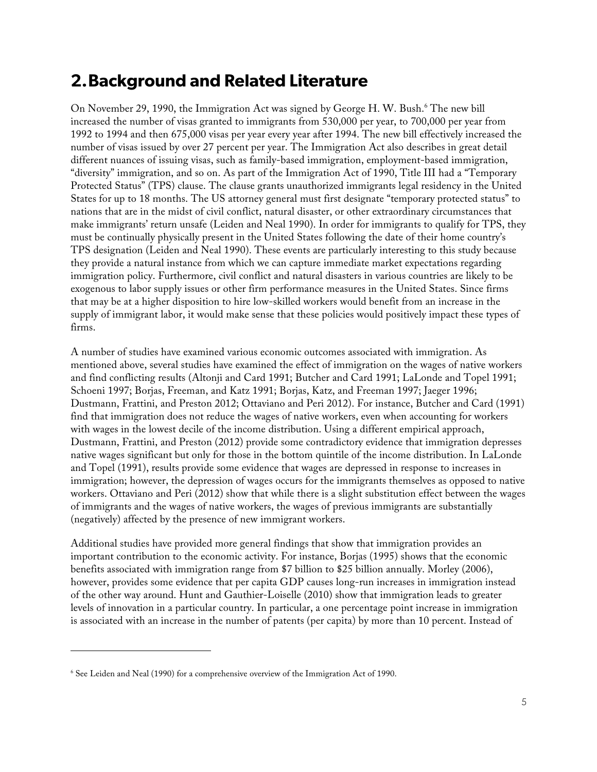## **2.Background and Related Literature**

On November 29, 1990, the Immigration Act was signed by George H. W. Bush.<sup>6</sup> The new bill increased the number of visas granted to immigrants from 530,000 per year, to 700,000 per year from 1992 to 1994 and then 675,000 visas per year every year after 1994. The new bill effectively increased the number of visas issued by over 27 percent per year. The Immigration Act also describes in great detail different nuances of issuing visas, such as family-based immigration, employment-based immigration, "diversity" immigration, and so on. As part of the Immigration Act of 1990, Title III had a "Temporary Protected Status" (TPS) clause. The clause grants unauthorized immigrants legal residency in the United States for up to 18 months. The US attorney general must first designate "temporary protected status" to nations that are in the midst of civil conflict, natural disaster, or other extraordinary circumstances that make immigrants' return unsafe (Leiden and Neal 1990). In order for immigrants to qualify for TPS, they must be continually physically present in the United States following the date of their home country's TPS designation (Leiden and Neal 1990). These events are particularly interesting to this study because they provide a natural instance from which we can capture immediate market expectations regarding immigration policy. Furthermore, civil conflict and natural disasters in various countries are likely to be exogenous to labor supply issues or other firm performance measures in the United States. Since firms that may be at a higher disposition to hire low-skilled workers would benefit from an increase in the supply of immigrant labor, it would make sense that these policies would positively impact these types of firms.

A number of studies have examined various economic outcomes associated with immigration. As mentioned above, several studies have examined the effect of immigration on the wages of native workers and find conflicting results (Altonji and Card 1991; Butcher and Card 1991; LaLonde and Topel 1991; Schoeni 1997; Borjas, Freeman, and Katz 1991; Borjas, Katz, and Freeman 1997; Jaeger 1996; Dustmann, Frattini, and Preston 2012; Ottaviano and Peri 2012). For instance, Butcher and Card (1991) find that immigration does not reduce the wages of native workers, even when accounting for workers with wages in the lowest decile of the income distribution. Using a different empirical approach, Dustmann, Frattini, and Preston (2012) provide some contradictory evidence that immigration depresses native wages significant but only for those in the bottom quintile of the income distribution. In LaLonde and Topel (1991), results provide some evidence that wages are depressed in response to increases in immigration; however, the depression of wages occurs for the immigrants themselves as opposed to native workers. Ottaviano and Peri (2012) show that while there is a slight substitution effect between the wages of immigrants and the wages of native workers, the wages of previous immigrants are substantially (negatively) affected by the presence of new immigrant workers.

Additional studies have provided more general findings that show that immigration provides an important contribution to the economic activity. For instance, Borjas (1995) shows that the economic benefits associated with immigration range from \$7 billion to \$25 billion annually. Morley (2006), however, provides some evidence that per capita GDP causes long-run increases in immigration instead of the other way around. Hunt and Gauthier-Loiselle (2010) show that immigration leads to greater levels of innovation in a particular country. In particular, a one percentage point increase in immigration is associated with an increase in the number of patents (per capita) by more than 10 percent. Instead of

I

<sup>6</sup> See Leiden and Neal (1990) for a comprehensive overview of the Immigration Act of 1990.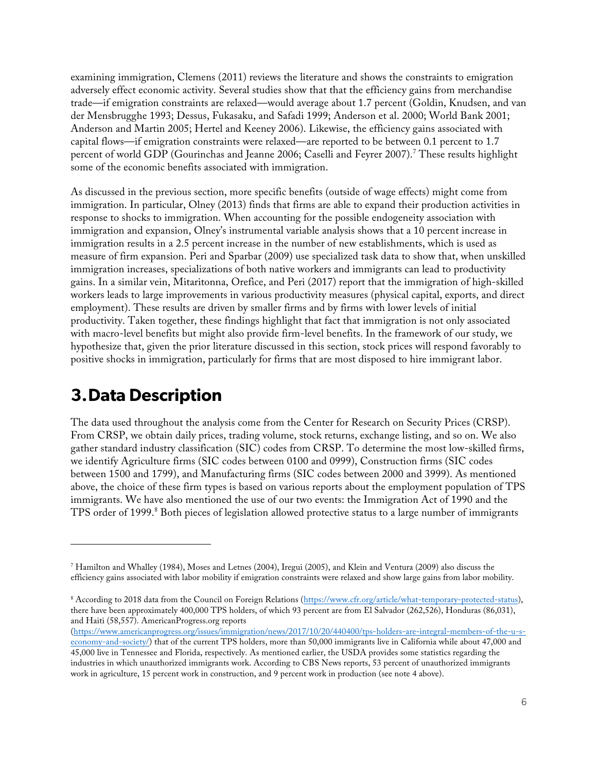examining immigration, Clemens (2011) reviews the literature and shows the constraints to emigration adversely effect economic activity. Several studies show that that the efficiency gains from merchandise trade—if emigration constraints are relaxed—would average about 1.7 percent (Goldin, Knudsen, and van der Mensbrugghe 1993; Dessus, Fukasaku, and Safadi 1999; Anderson et al. 2000; World Bank 2001; Anderson and Martin 2005; Hertel and Keeney 2006). Likewise, the efficiency gains associated with capital flows—if emigration constraints were relaxed—are reported to be between 0.1 percent to 1.7 percent of world GDP (Gourinchas and Jeanne 2006; Caselli and Feyrer 2007).<sup>7</sup> These results highlight some of the economic benefits associated with immigration.

As discussed in the previous section, more specific benefits (outside of wage effects) might come from immigration. In particular, Olney (2013) finds that firms are able to expand their production activities in response to shocks to immigration. When accounting for the possible endogeneity association with immigration and expansion, Olney's instrumental variable analysis shows that a 10 percent increase in immigration results in a 2.5 percent increase in the number of new establishments, which is used as measure of firm expansion. Peri and Sparbar (2009) use specialized task data to show that, when unskilled immigration increases, specializations of both native workers and immigrants can lead to productivity gains. In a similar vein, Mitaritonna, Orefice, and Peri (2017) report that the immigration of high-skilled workers leads to large improvements in various productivity measures (physical capital, exports, and direct employment). These results are driven by smaller firms and by firms with lower levels of initial productivity. Taken together, these findings highlight that fact that immigration is not only associated with macro-level benefits but might also provide firm-level benefits. In the framework of our study, we hypothesize that, given the prior literature discussed in this section, stock prices will respond favorably to positive shocks in immigration, particularly for firms that are most disposed to hire immigrant labor.

## **3.Data Description**

I

The data used throughout the analysis come from the Center for Research on Security Prices (CRSP). From CRSP, we obtain daily prices, trading volume, stock returns, exchange listing, and so on. We also gather standard industry classification (SIC) codes from CRSP. To determine the most low-skilled firms, we identify Agriculture firms (SIC codes between 0100 and 0999), Construction firms (SIC codes between 1500 and 1799), and Manufacturing firms (SIC codes between 2000 and 3999). As mentioned above, the choice of these firm types is based on various reports about the employment population of TPS immigrants. We have also mentioned the use of our two events: the Immigration Act of 1990 and the TPS order of 1999.<sup>8</sup> Both pieces of legislation allowed protective status to a large number of immigrants

<sup>7</sup> Hamilton and Whalley (1984), Moses and Letnes (2004), Iregui (2005), and Klein and Ventura (2009) also discuss the efficiency gains associated with labor mobility if emigration constraints were relaxed and show large gains from labor mobility.

<sup>&</sup>lt;sup>8</sup> According to 2018 data from the Council on Foreign Relations (https://www.cfr.org/article/what-temporary-protected-status), there have been approximately 400,000 TPS holders, of which 93 percent are from El Salvador (262,526), Honduras (86,031), and Haiti (58,557). AmericanProgress.org reports

<sup>(</sup>https://www.americanprogress.org/issues/immigration/news/2017/10/20/440400/tps-holders-are-integral-members-of-the-u-seconomy-and-society/) that of the current TPS holders, more than 50,000 immigrants live in California while about 47,000 and 45,000 live in Tennessee and Florida, respectively. As mentioned earlier, the USDA provides some statistics regarding the industries in which unauthorized immigrants work. According to CBS News reports, 53 percent of unauthorized immigrants work in agriculture, 15 percent work in construction, and 9 percent work in production (see note 4 above).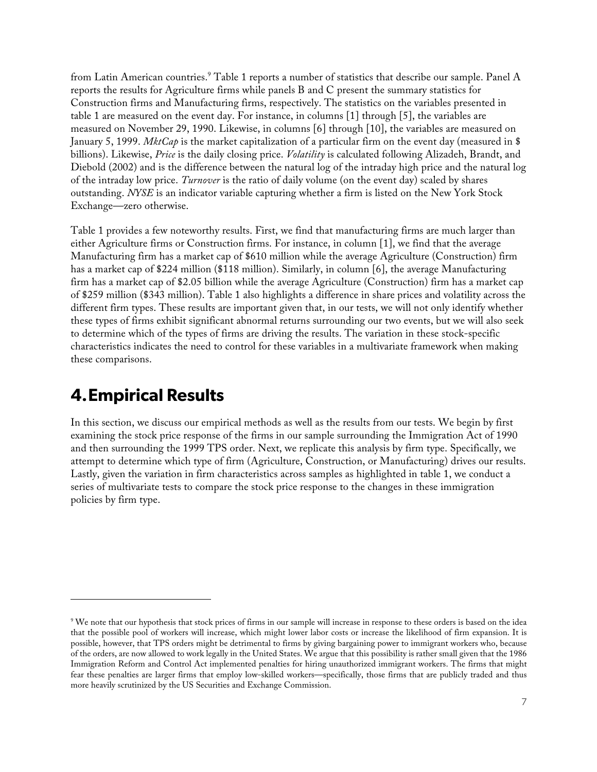from Latin American countries.<sup>9</sup> Table 1 reports a number of statistics that describe our sample. Panel A reports the results for Agriculture firms while panels B and C present the summary statistics for Construction firms and Manufacturing firms, respectively. The statistics on the variables presented in table 1 are measured on the event day. For instance, in columns [1] through [5], the variables are measured on November 29, 1990. Likewise, in columns [6] through [10], the variables are measured on January 5, 1999. *MktCap* is the market capitalization of a particular firm on the event day (measured in \$ billions). Likewise, *Price* is the daily closing price. *Volatility* is calculated following Alizadeh, Brandt, and Diebold (2002) and is the difference between the natural log of the intraday high price and the natural log of the intraday low price. *Turnover* is the ratio of daily volume (on the event day) scaled by shares outstanding. *NYSE* is an indicator variable capturing whether a firm is listed on the New York Stock Exchange—zero otherwise.

Table 1 provides a few noteworthy results. First, we find that manufacturing firms are much larger than either Agriculture firms or Construction firms. For instance, in column [1], we find that the average Manufacturing firm has a market cap of \$610 million while the average Agriculture (Construction) firm has a market cap of \$224 million (\$118 million). Similarly, in column [6], the average Manufacturing firm has a market cap of \$2.05 billion while the average Agriculture (Construction) firm has a market cap of \$259 million (\$343 million). Table 1 also highlights a difference in share prices and volatility across the different firm types. These results are important given that, in our tests, we will not only identify whether these types of firms exhibit significant abnormal returns surrounding our two events, but we will also seek to determine which of the types of firms are driving the results. The variation in these stock-specific characteristics indicates the need to control for these variables in a multivariate framework when making these comparisons.

## **4.Empirical Results**

I

In this section, we discuss our empirical methods as well as the results from our tests. We begin by first examining the stock price response of the firms in our sample surrounding the Immigration Act of 1990 and then surrounding the 1999 TPS order. Next, we replicate this analysis by firm type. Specifically, we attempt to determine which type of firm (Agriculture, Construction, or Manufacturing) drives our results. Lastly, given the variation in firm characteristics across samples as highlighted in table 1, we conduct a series of multivariate tests to compare the stock price response to the changes in these immigration policies by firm type.

<sup>&</sup>lt;sup>9</sup> We note that our hypothesis that stock prices of firms in our sample will increase in response to these orders is based on the idea that the possible pool of workers will increase, which might lower labor costs or increase the likelihood of firm expansion. It is possible, however, that TPS orders might be detrimental to firms by giving bargaining power to immigrant workers who, because of the orders, are now allowed to work legally in the United States. We argue that this possibility is rather small given that the 1986 Immigration Reform and Control Act implemented penalties for hiring unauthorized immigrant workers. The firms that might fear these penalties are larger firms that employ low-skilled workers—specifically, those firms that are publicly traded and thus more heavily scrutinized by the US Securities and Exchange Commission.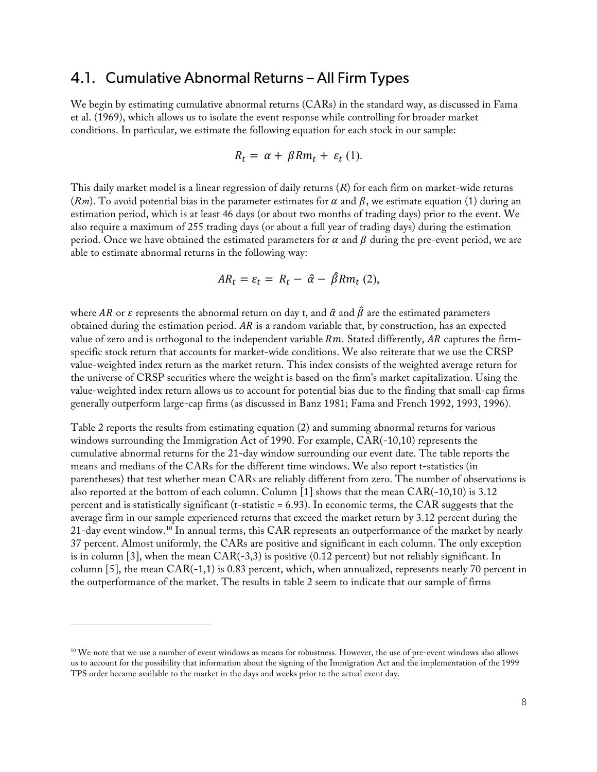### 4.1. Cumulative Abnormal Returns – All Firm Types

We begin by estimating cumulative abnormal returns (CARs) in the standard way, as discussed in Fama et al. (1969), which allows us to isolate the event response while controlling for broader market conditions. In particular, we estimate the following equation for each stock in our sample:

$$
R_t = \alpha + \beta R m_t + \varepsilon_t (1).
$$

This daily market model is a linear regression of daily returns (*R*) for each firm on market-wide returns  $(Rm)$ . To avoid potential bias in the parameter estimates for  $\alpha$  and  $\beta$ , we estimate equation (1) during an estimation period, which is at least 46 days (or about two months of trading days) prior to the event. We also require a maximum of 255 trading days (or about a full year of trading days) during the estimation period. Once we have obtained the estimated parameters for  $\alpha$  and  $\beta$  during the pre-event period, we are able to estimate abnormal returns in the following way:

$$
AR_t = \varepsilon_t = R_t - \hat{\alpha} - \hat{\beta} R m_t (2),
$$

where AR or  $\varepsilon$  represents the abnormal return on day t, and  $\hat{\alpha}$  and  $\hat{\beta}$  are the estimated parameters obtained during the estimation period.  $AR$  is a random variable that, by construction, has an expected value of zero and is orthogonal to the independent variable  $Rm$ . Stated differently,  $AR$  captures the firmspecific stock return that accounts for market-wide conditions. We also reiterate that we use the CRSP value-weighted index return as the market return. This index consists of the weighted average return for the universe of CRSP securities where the weight is based on the firm's market capitalization. Using the value-weighted index return allows us to account for potential bias due to the finding that small-cap firms generally outperform large-cap firms (as discussed in Banz 1981; Fama and French 1992, 1993, 1996).

Table 2 reports the results from estimating equation (2) and summing abnormal returns for various windows surrounding the Immigration Act of 1990. For example, CAR(-10,10) represents the cumulative abnormal returns for the 21-day window surrounding our event date. The table reports the means and medians of the CARs for the different time windows. We also report t-statistics (in parentheses) that test whether mean CARs are reliably different from zero. The number of observations is also reported at the bottom of each column. Column [1] shows that the mean CAR(-10,10) is 3.12 percent and is statistically significant (t-statistic = 6.93). In economic terms, the CAR suggests that the average firm in our sample experienced returns that exceed the market return by 3.12 percent during the 21-day event window.<sup>10</sup> In annual terms, this CAR represents an outperformance of the market by nearly 37 percent. Almost uniformly, the CARs are positive and significant in each column. The only exception is in column [3], when the mean  $CAR(-3,3)$  is positive (0.12 percent) but not reliably significant. In column [5], the mean  $CAR(-1,1)$  is 0.83 percent, which, when annualized, represents nearly 70 percent in the outperformance of the market. The results in table 2 seem to indicate that our sample of firms

I

<sup>&</sup>lt;sup>10</sup> We note that we use a number of event windows as means for robustness. However, the use of pre-event windows also allows us to account for the possibility that information about the signing of the Immigration Act and the implementation of the 1999 TPS order became available to the market in the days and weeks prior to the actual event day.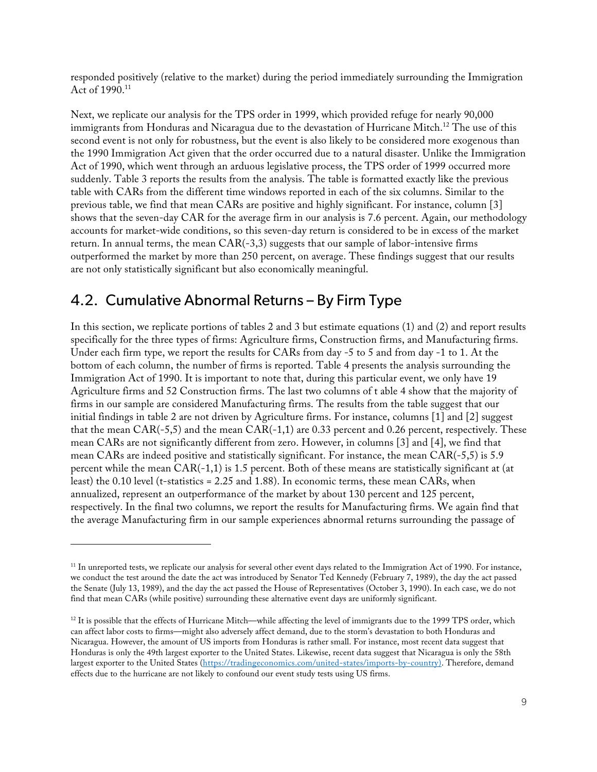responded positively (relative to the market) during the period immediately surrounding the Immigration Act of 1990.<sup>11</sup>

Next, we replicate our analysis for the TPS order in 1999, which provided refuge for nearly 90,000 immigrants from Honduras and Nicaragua due to the devastation of Hurricane Mitch.<sup>12</sup> The use of this second event is not only for robustness, but the event is also likely to be considered more exogenous than the 1990 Immigration Act given that the order occurred due to a natural disaster. Unlike the Immigration Act of 1990, which went through an arduous legislative process, the TPS order of 1999 occurred more suddenly. Table 3 reports the results from the analysis. The table is formatted exactly like the previous table with CARs from the different time windows reported in each of the six columns. Similar to the previous table, we find that mean CARs are positive and highly significant. For instance, column [3] shows that the seven-day CAR for the average firm in our analysis is 7.6 percent. Again, our methodology accounts for market-wide conditions, so this seven-day return is considered to be in excess of the market return. In annual terms, the mean  $CAR(-3,3)$  suggests that our sample of labor-intensive firms outperformed the market by more than 250 percent, on average. These findings suggest that our results are not only statistically significant but also economically meaningful.

### 4.2. Cumulative Abnormal Returns – By Firm Type

I

In this section, we replicate portions of tables 2 and 3 but estimate equations (1) and (2) and report results specifically for the three types of firms: Agriculture firms, Construction firms, and Manufacturing firms. Under each firm type, we report the results for CARs from day -5 to 5 and from day -1 to 1. At the bottom of each column, the number of firms is reported. Table 4 presents the analysis surrounding the Immigration Act of 1990. It is important to note that, during this particular event, we only have 19 Agriculture firms and 52 Construction firms. The last two columns of t able 4 show that the majority of firms in our sample are considered Manufacturing firms. The results from the table suggest that our initial findings in table 2 are not driven by Agriculture firms. For instance, columns [1] and [2] suggest that the mean  $CAR(-5,5)$  and the mean  $CAR(-1,1)$  are 0.33 percent and 0.26 percent, respectively. These mean CARs are not significantly different from zero. However, in columns [3] and [4], we find that mean CARs are indeed positive and statistically significant. For instance, the mean CAR(-5,5) is 5.9 percent while the mean CAR(-1,1) is 1.5 percent. Both of these means are statistically significant at (at least) the 0.10 level (t-statistics = 2.25 and 1.88). In economic terms, these mean CARs, when annualized, represent an outperformance of the market by about 130 percent and 125 percent, respectively. In the final two columns, we report the results for Manufacturing firms. We again find that the average Manufacturing firm in our sample experiences abnormal returns surrounding the passage of

<sup>&</sup>lt;sup>11</sup> In unreported tests, we replicate our analysis for several other event days related to the Immigration Act of 1990. For instance, we conduct the test around the date the act was introduced by Senator Ted Kennedy (February 7, 1989), the day the act passed the Senate (July 13, 1989), and the day the act passed the House of Representatives (October 3, 1990). In each case, we do not find that mean CARs (while positive) surrounding these alternative event days are uniformly significant.

<sup>&</sup>lt;sup>12</sup> It is possible that the effects of Hurricane Mitch—while affecting the level of immigrants due to the 1999 TPS order, which can affect labor costs to firms—might also adversely affect demand, due to the storm's devastation to both Honduras and Nicaragua. However, the amount of US imports from Honduras is rather small. For instance, most recent data suggest that Honduras is only the 49th largest exporter to the United States. Likewise, recent data suggest that Nicaragua is only the 58th largest exporter to the United States (https://tradingeconomics.com/united-states/imports-by-country). Therefore, demand effects due to the hurricane are not likely to confound our event study tests using US firms.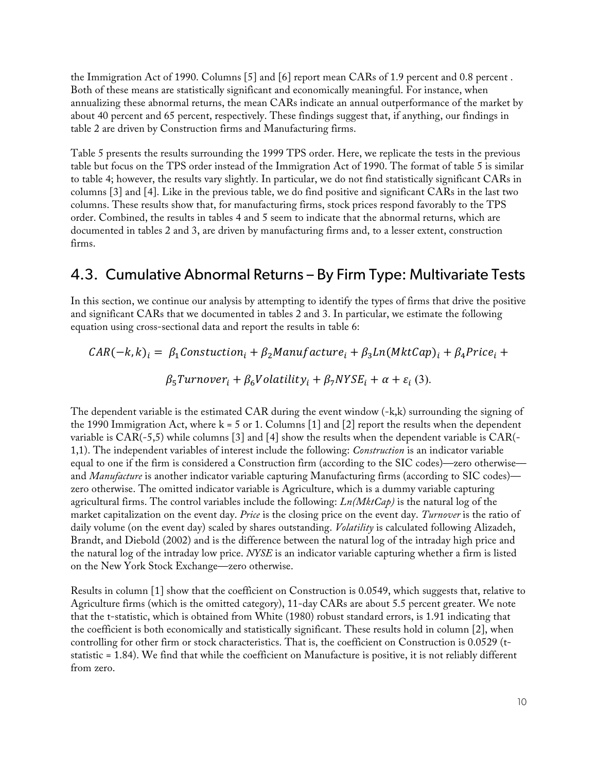the Immigration Act of 1990. Columns [5] and [6] report mean CARs of 1.9 percent and 0.8 percent . Both of these means are statistically significant and economically meaningful. For instance, when annualizing these abnormal returns, the mean CARs indicate an annual outperformance of the market by about 40 percent and 65 percent, respectively. These findings suggest that, if anything, our findings in table 2 are driven by Construction firms and Manufacturing firms.

Table 5 presents the results surrounding the 1999 TPS order. Here, we replicate the tests in the previous table but focus on the TPS order instead of the Immigration Act of 1990. The format of table 5 is similar to table 4; however, the results vary slightly. In particular, we do not find statistically significant CARs in columns [3] and [4]. Like in the previous table, we do find positive and significant CARs in the last two columns. These results show that, for manufacturing firms, stock prices respond favorably to the TPS order. Combined, the results in tables 4 and 5 seem to indicate that the abnormal returns, which are documented in tables 2 and 3, are driven by manufacturing firms and, to a lesser extent, construction firms.

### 4.3. Cumulative Abnormal Returns – By Firm Type: Multivariate Tests

In this section, we continue our analysis by attempting to identify the types of firms that drive the positive and significant CARs that we documented in tables 2 and 3. In particular, we estimate the following equation using cross-sectional data and report the results in table 6:

$$
CAR(-k, k)_i = \beta_1 Construction_i + \beta_2 Manuelactive_i + \beta_3 Ln(MktCap)_i + \beta_4 Price_i +
$$
  

$$
\beta_5 Turnover_i + \beta_6 Volatility_i + \beta_7 NYSE_i + \alpha + \varepsilon_i (3).
$$

The dependent variable is the estimated CAR during the event window (-k,k) surrounding the signing of the 1990 Immigration Act, where  $k = 5$  or 1. Columns [1] and [2] report the results when the dependent variable is CAR(-5,5) while columns [3] and [4] show the results when the dependent variable is CAR(- 1,1). The independent variables of interest include the following: *Construction* is an indicator variable equal to one if the firm is considered a Construction firm (according to the SIC codes)—zero otherwise and *Manufacture* is another indicator variable capturing Manufacturing firms (according to SIC codes) zero otherwise. The omitted indicator variable is Agriculture, which is a dummy variable capturing agricultural firms. The control variables include the following: *Ln(MktCap)* is the natural log of the market capitalization on the event day. *Price* is the closing price on the event day. *Turnover* is the ratio of daily volume (on the event day) scaled by shares outstanding. *Volatility* is calculated following Alizadeh, Brandt, and Diebold (2002) and is the difference between the natural log of the intraday high price and the natural log of the intraday low price. *NYSE* is an indicator variable capturing whether a firm is listed on the New York Stock Exchange—zero otherwise.

Results in column [1] show that the coefficient on Construction is 0.0549, which suggests that, relative to Agriculture firms (which is the omitted category), 11-day CARs are about 5.5 percent greater. We note that the t-statistic, which is obtained from White (1980) robust standard errors, is 1.91 indicating that the coefficient is both economically and statistically significant. These results hold in column [2], when controlling for other firm or stock characteristics. That is, the coefficient on Construction is 0.0529 (tstatistic = 1.84). We find that while the coefficient on Manufacture is positive, it is not reliably different from zero.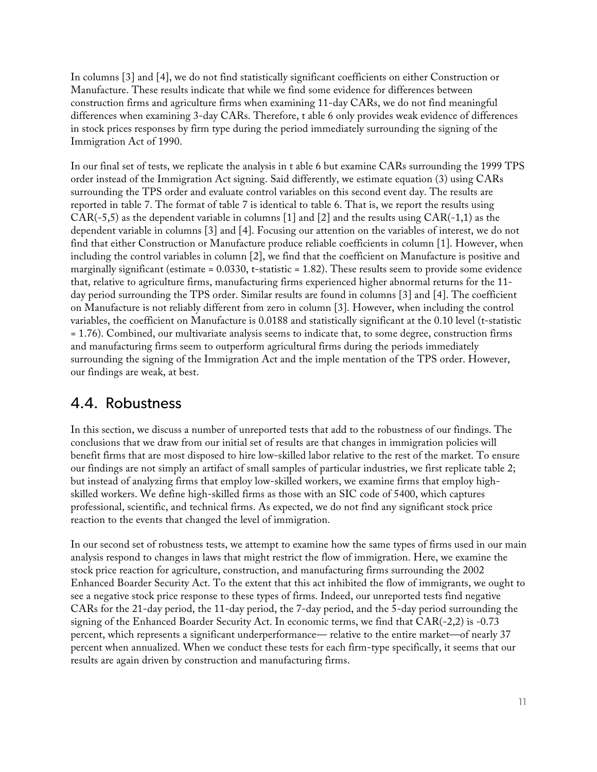In columns [3] and [4], we do not find statistically significant coefficients on either Construction or Manufacture. These results indicate that while we find some evidence for differences between construction firms and agriculture firms when examining 11-day CARs, we do not find meaningful differences when examining 3-day CARs. Therefore, t able 6 only provides weak evidence of differences in stock prices responses by firm type during the period immediately surrounding the signing of the Immigration Act of 1990.

In our final set of tests, we replicate the analysis in t able 6 but examine CARs surrounding the 1999 TPS order instead of the Immigration Act signing. Said differently, we estimate equation (3) using CARs surrounding the TPS order and evaluate control variables on this second event day. The results are reported in table 7. The format of table 7 is identical to table 6. That is, we report the results using  $CAR(-5,5)$  as the dependent variable in columns [1] and [2] and the results using  $CAR(-1,1)$  as the dependent variable in columns [3] and [4]. Focusing our attention on the variables of interest, we do not find that either Construction or Manufacture produce reliable coefficients in column [1]. However, when including the control variables in column [2], we find that the coefficient on Manufacture is positive and marginally significant (estimate =  $0.0330$ , t-statistic = 1.82). These results seem to provide some evidence that, relative to agriculture firms, manufacturing firms experienced higher abnormal returns for the 11 day period surrounding the TPS order. Similar results are found in columns [3] and [4]. The coefficient on Manufacture is not reliably different from zero in column [3]. However, when including the control variables, the coefficient on Manufacture is 0.0188 and statistically significant at the 0.10 level (t-statistic = 1.76). Combined, our multivariate analysis seems to indicate that, to some degree, construction firms and manufacturing firms seem to outperform agricultural firms during the periods immediately surrounding the signing of the Immigration Act and the imple mentation of the TPS order. However, our findings are weak, at best.

### 4.4. Robustness

In this section, we discuss a number of unreported tests that add to the robustness of our findings. The conclusions that we draw from our initial set of results are that changes in immigration policies will benefit firms that are most disposed to hire low-skilled labor relative to the rest of the market. To ensure our findings are not simply an artifact of small samples of particular industries, we first replicate table 2; but instead of analyzing firms that employ low-skilled workers, we examine firms that employ highskilled workers. We define high-skilled firms as those with an SIC code of 5400, which captures professional, scientific, and technical firms. As expected, we do not find any significant stock price reaction to the events that changed the level of immigration.

In our second set of robustness tests, we attempt to examine how the same types of firms used in our main analysis respond to changes in laws that might restrict the flow of immigration. Here, we examine the stock price reaction for agriculture, construction, and manufacturing firms surrounding the 2002 Enhanced Boarder Security Act. To the extent that this act inhibited the flow of immigrants, we ought to see a negative stock price response to these types of firms. Indeed, our unreported tests find negative CARs for the 21-day period, the 11-day period, the 7-day period, and the 5-day period surrounding the signing of the Enhanced Boarder Security Act. In economic terms, we find that CAR(-2,2) is -0.73 percent, which represents a significant underperformance— relative to the entire market—of nearly 37 percent when annualized. When we conduct these tests for each firm-type specifically, it seems that our results are again driven by construction and manufacturing firms.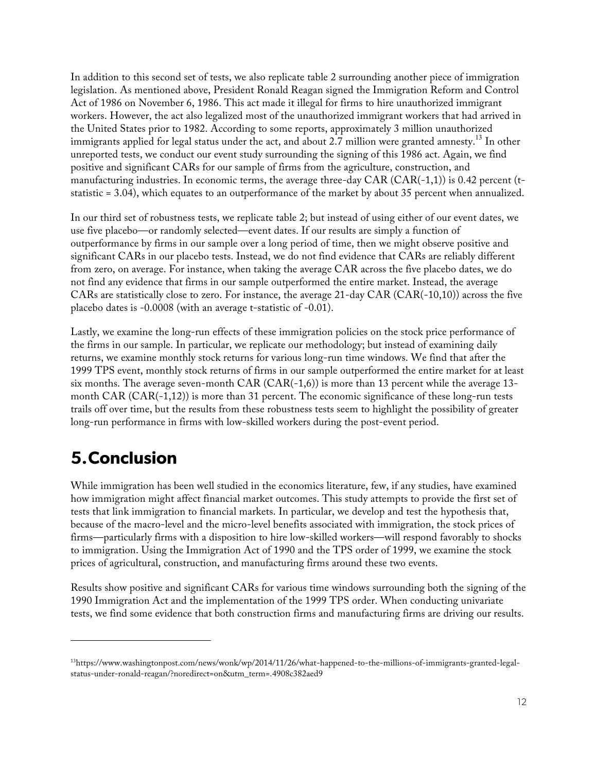In addition to this second set of tests, we also replicate table 2 surrounding another piece of immigration legislation. As mentioned above, President Ronald Reagan signed the Immigration Reform and Control Act of 1986 on November 6, 1986. This act made it illegal for firms to hire unauthorized immigrant workers. However, the act also legalized most of the unauthorized immigrant workers that had arrived in the United States prior to 1982. According to some reports, approximately 3 million unauthorized immigrants applied for legal status under the act, and about 2.7 million were granted amnesty.<sup>13</sup> In other unreported tests, we conduct our event study surrounding the signing of this 1986 act. Again, we find positive and significant CARs for our sample of firms from the agriculture, construction, and manufacturing industries. In economic terms, the average three-day CAR  $(CAR(-1,1))$  is 0.42 percent (tstatistic = 3.04), which equates to an outperformance of the market by about 35 percent when annualized.

In our third set of robustness tests, we replicate table 2; but instead of using either of our event dates, we use five placebo—or randomly selected—event dates. If our results are simply a function of outperformance by firms in our sample over a long period of time, then we might observe positive and significant CARs in our placebo tests. Instead, we do not find evidence that CARs are reliably different from zero, on average. For instance, when taking the average CAR across the five placebo dates, we do not find any evidence that firms in our sample outperformed the entire market. Instead, the average CARs are statistically close to zero. For instance, the average 21-day CAR (CAR(-10,10)) across the five placebo dates is -0.0008 (with an average t-statistic of -0.01).

Lastly, we examine the long-run effects of these immigration policies on the stock price performance of the firms in our sample. In particular, we replicate our methodology; but instead of examining daily returns, we examine monthly stock returns for various long-run time windows. We find that after the 1999 TPS event, monthly stock returns of firms in our sample outperformed the entire market for at least six months. The average seven-month  $CAR (CAR(-1,6))$  is more than 13 percent while the average 13month CAR (CAR(-1,12)) is more than 31 percent. The economic significance of these long-run tests trails off over time, but the results from these robustness tests seem to highlight the possibility of greater long-run performance in firms with low-skilled workers during the post-event period.

## **5.Conclusion**

I

While immigration has been well studied in the economics literature, few, if any studies, have examined how immigration might affect financial market outcomes. This study attempts to provide the first set of tests that link immigration to financial markets. In particular, we develop and test the hypothesis that, because of the macro-level and the micro-level benefits associated with immigration, the stock prices of firms—particularly firms with a disposition to hire low-skilled workers—will respond favorably to shocks to immigration. Using the Immigration Act of 1990 and the TPS order of 1999, we examine the stock prices of agricultural, construction, and manufacturing firms around these two events.

Results show positive and significant CARs for various time windows surrounding both the signing of the 1990 Immigration Act and the implementation of the 1999 TPS order. When conducting univariate tests, we find some evidence that both construction firms and manufacturing firms are driving our results.

<sup>13</sup>https://www.washingtonpost.com/news/wonk/wp/2014/11/26/what-happened-to-the-millions-of-immigrants-granted-legalstatus-under-ronald-reagan/?noredirect=on&utm\_term=.4908c382aed9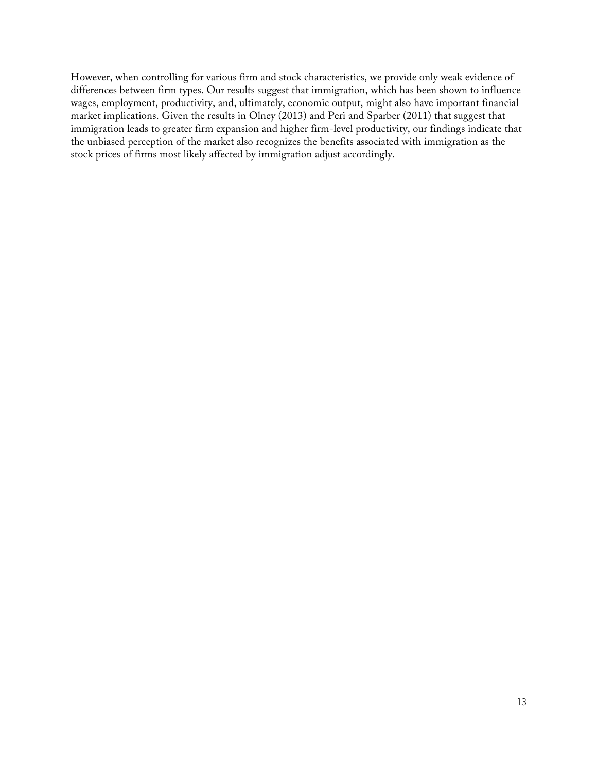However, when controlling for various firm and stock characteristics, we provide only weak evidence of differences between firm types. Our results suggest that immigration, which has been shown to influence wages, employment, productivity, and, ultimately, economic output, might also have important financial market implications. Given the results in Olney (2013) and Peri and Sparber (2011) that suggest that immigration leads to greater firm expansion and higher firm-level productivity, our findings indicate that the unbiased perception of the market also recognizes the benefits associated with immigration as the stock prices of firms most likely affected by immigration adjust accordingly.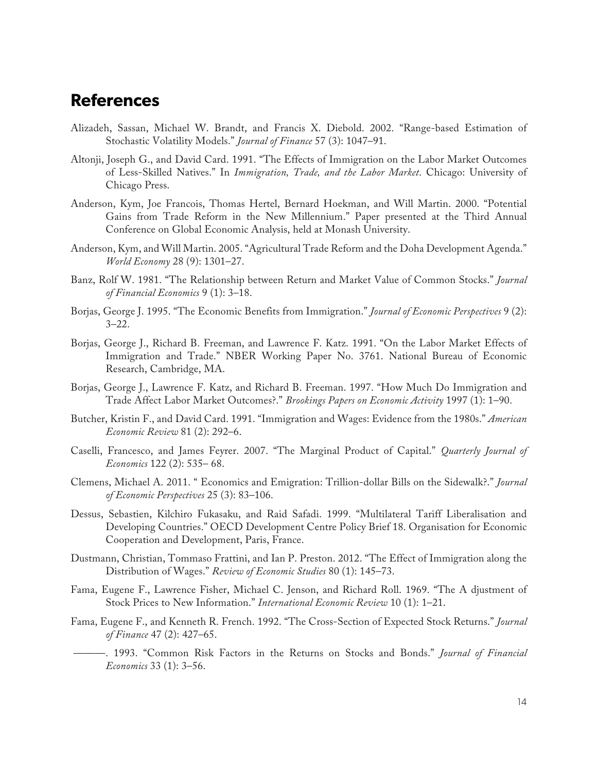### **References**

- Alizadeh, Sassan, Michael W. Brandt, and Francis X. Diebold. 2002. "Range-based Estimation of Stochastic Volatility Models." *Journal of Finance* 57 (3): 1047–91.
- Altonji, Joseph G., and David Card. 1991. "The Effects of Immigration on the Labor Market Outcomes of Less-Skilled Natives." In *Immigration, Trade, and the Labor Market*. Chicago: University of Chicago Press.
- Anderson, Kym, Joe Francois, Thomas Hertel, Bernard Hoekman, and Will Martin. 2000. "Potential Gains from Trade Reform in the New Millennium." Paper presented at the Third Annual Conference on Global Economic Analysis, held at Monash University.
- Anderson, Kym, and Will Martin. 2005. "Agricultural Trade Reform and the Doha Development Agenda." *World Economy* 28 (9): 1301–27.
- Banz, Rolf W. 1981. "The Relationship between Return and Market Value of Common Stocks." *Journal of Financial Economics* 9 (1): 3–18.
- Borjas, George J. 1995. "The Economic Benefits from Immigration." *Journal of Economic Perspectives* 9 (2):  $3 - 22.$
- Borjas, George J., Richard B. Freeman, and Lawrence F. Katz. 1991. "On the Labor Market Effects of Immigration and Trade." NBER Working Paper No. 3761. National Bureau of Economic Research, Cambridge, MA.
- Borjas, George J., Lawrence F. Katz, and Richard B. Freeman. 1997. "How Much Do Immigration and Trade Affect Labor Market Outcomes?." *Brookings Papers on Economic Activity* 1997 (1): 1–90.
- Butcher, Kristin F., and David Card. 1991. "Immigration and Wages: Evidence from the 1980s." *American Economic Review* 81 (2): 292–6.
- Caselli, Francesco, and James Feyrer. 2007. "The Marginal Product of Capital." *Quarterly Journal of Economics* 122 (2): 535– 68.
- Clemens, Michael A. 2011. " Economics and Emigration: Trillion-dollar Bills on the Sidewalk?." *Journal of Economic Perspectives* 25 (3): 83–106.
- Dessus, Sebastien, Kilchiro Fukasaku, and Raid Safadi. 1999. "Multilateral Tariff Liberalisation and Developing Countries." OECD Development Centre Policy Brief 18. Organisation for Economic Cooperation and Development, Paris, France.
- Dustmann, Christian, Tommaso Frattini, and Ian P. Preston. 2012. "The Effect of Immigration along the Distribution of Wages." *Review of Economic Studies* 80 (1): 145–73.
- Fama, Eugene F., Lawrence Fisher, Michael C. Jenson, and Richard Roll. 1969. "The A djustment of Stock Prices to New Information." *International Economic Review* 10 (1): 1–21.
- Fama, Eugene F., and Kenneth R. French. 1992. "The Cross-Section of Expected Stock Returns." *Journal of Finance* 47 (2): 427–65.
- ———. 1993. "Common Risk Factors in the Returns on Stocks and Bonds." *Journal of Financial Economics* 33 (1): 3–56.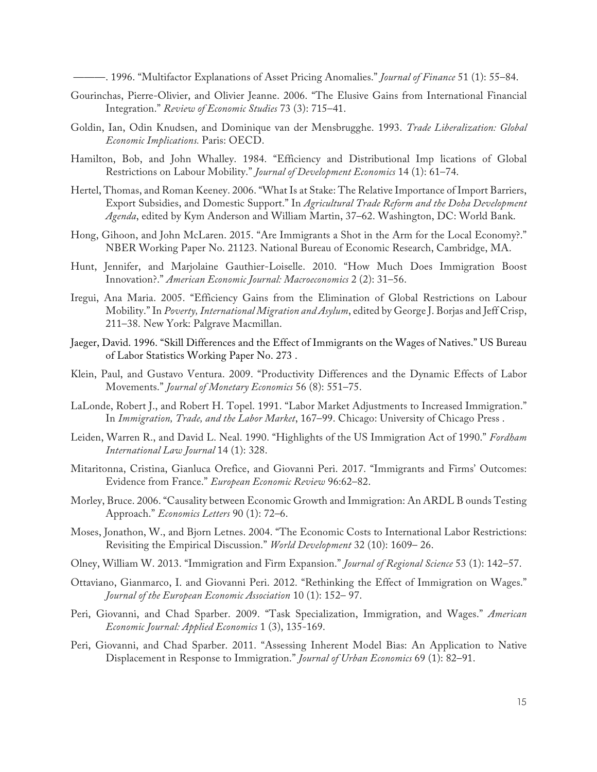———. 1996. "Multifactor Explanations of Asset Pricing Anomalies." *Journal of Finance* 51 (1): 55–84.

- Gourinchas, Pierre-Olivier, and Olivier Jeanne. 2006. "The Elusive Gains from International Financial Integration." *Review of Economic Studies* 73 (3): 715–41.
- Goldin, Ian, Odin Knudsen, and Dominique van der Mensbrugghe. 1993. *Trade Liberalization: Global Economic Implications.* Paris: OECD.
- Hamilton, Bob, and John Whalley. 1984. "Efficiency and Distributional Imp lications of Global Restrictions on Labour Mobility." *Journal of Development Economics* 14 (1): 61–74.
- Hertel, Thomas, and Roman Keeney. 2006. "What Is at Stake: The Relative Importance of Import Barriers, Export Subsidies, and Domestic Support." In *Agricultural Trade Reform and the Doha Development Agenda*, edited by Kym Anderson and William Martin, 37–62. Washington, DC: World Bank.
- Hong, Gihoon, and John McLaren. 2015. "Are Immigrants a Shot in the Arm for the Local Economy?." NBER Working Paper No. 21123. National Bureau of Economic Research, Cambridge, MA.
- Hunt, Jennifer, and Marjolaine Gauthier-Loiselle. 2010. "How Much Does Immigration Boost Innovation?." *American Economic Journal: Macroeconomics* 2 (2): 31–56.
- Iregui, Ana Maria. 2005. "Efficiency Gains from the Elimination of Global Restrictions on Labour Mobility." In *Poverty, International Migration and Asylum*, edited by George J. Borjas and Jeff Crisp, 211–38. New York: Palgrave Macmillan.
- Jaeger, David. 1996. "Skill Differences and the Effect of Immigrants on the Wages of Natives." US Bureau of Labor Statistics Working Paper No. 273 .
- Klein, Paul, and Gustavo Ventura. 2009. "Productivity Differences and the Dynamic Effects of Labor Movements." *Journal of Monetary Economics* 56 (8): 551–75.
- LaLonde, Robert J., and Robert H. Topel. 1991. "Labor Market Adjustments to Increased Immigration." In *Immigration, Trade, and the Labor Market*, 167–99. Chicago: University of Chicago Press .
- Leiden, Warren R., and David L. Neal. 1990. "Highlights of the US Immigration Act of 1990." *Fordham International Law Journal* 14 (1): 328.
- Mitaritonna, Cristina, Gianluca Orefice, and Giovanni Peri. 2017. "Immigrants and Firms' Outcomes: Evidence from France." *European Economic Review* 96:62–82.
- Morley, Bruce. 2006. "Causality between Economic Growth and Immigration: An ARDL B ounds Testing Approach." *Economics Letters* 90 (1): 72–6.
- Moses, Jonathon, W., and Bjorn Letnes. 2004. "The Economic Costs to International Labor Restrictions: Revisiting the Empirical Discussion." *World Development* 32 (10): 1609– 26.
- Olney, William W. 2013. "Immigration and Firm Expansion." *Journal of Regional Science* 53 (1): 142–57.
- Ottaviano, Gianmarco, I. and Giovanni Peri. 2012. "Rethinking the Effect of Immigration on Wages." *Journal of the European Economic Association* 10 (1): 152– 97.
- Peri, Giovanni, and Chad Sparber. 2009. "Task Specialization, Immigration, and Wages." *American Economic Journal: Applied Economics* 1 (3), 135-169.
- Peri, Giovanni, and Chad Sparber. 2011. "Assessing Inherent Model Bias: An Application to Native Displacement in Response to Immigration." *Journal of Urban Economics* 69 (1): 82–91.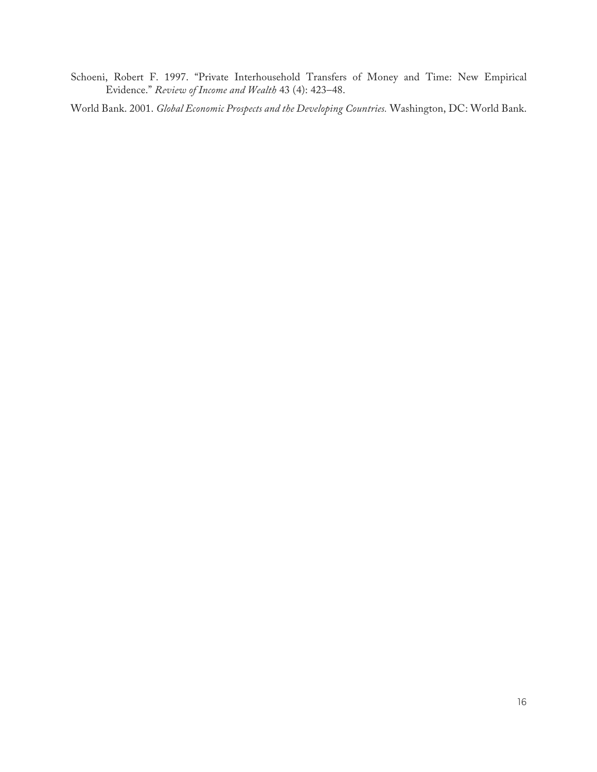Schoeni, Robert F. 1997. "Private Interhousehold Transfers of Money and Time: New Empirical Evidence." *Review of Income and Wealth* 43 (4): 423–48.

World Bank. 2001. *Global Economic Prospects and the Developing Countries.* Washington, DC: World Bank.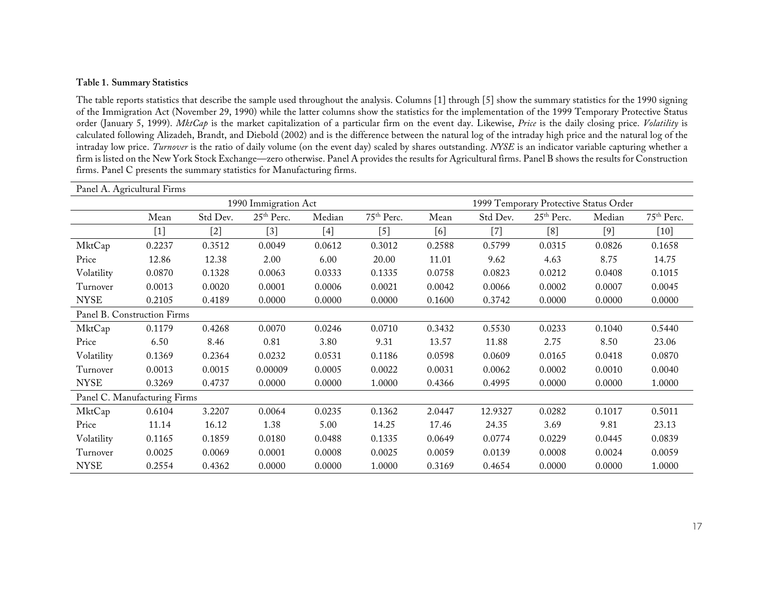#### **Table 1. Summary Statistics**

The table reports statistics that describe the sample used throughout the analysis. Columns [1] through [5] show the summary statistics for the 1990 signing of the Immigration Act (November 29, 1990) while the latter columns show the statistics for the implementation of the 1999 Temporary Protective Status order (January 5, 1999). *MktCap* is the market capitalization of a particular firm on the event day. Likewise, *Price* is the daily closing price. *Volatility* is calculated following Alizadeh, Brandt, and Diebold (2002) and is the difference between the natural log of the intraday high price and the natural log of the intraday low price. *Turnover* is the ratio of daily volume (on the event day) scaled by shares outstanding. *NYSE* is an indicator variable capturing whether a firm is listed on the New York Stock Exchange—zero otherwise. Panel A provides the results for Agricultural firms. Panel B shows the results for Construction firms. Panel C presents the summary statistics for Manufacturing firms.

| Panel A. Agricultural Firms  |        |          |                        |        |                        |        |                                        |                        |        |                        |
|------------------------------|--------|----------|------------------------|--------|------------------------|--------|----------------------------------------|------------------------|--------|------------------------|
| 1990 Immigration Act         |        |          |                        |        |                        |        | 1999 Temporary Protective Status Order |                        |        |                        |
|                              | Mean   | Std Dev. | 25 <sup>th</sup> Perc. | Median | 75 <sup>th</sup> Perc. | Mean   | Std Dev.                               | 25 <sup>th</sup> Perc. | Median | 75 <sup>th</sup> Perc. |
|                              | $[1]$  | [2]      | $[3]$                  | [4]    | $[5]$                  | [6]    | $^{[7]}$                               | [8]                    | $[9]$  | $[10]$                 |
| MktCap                       | 0.2237 | 0.3512   | 0.0049                 | 0.0612 | 0.3012                 | 0.2588 | 0.5799                                 | 0.0315                 | 0.0826 | 0.1658                 |
| Price                        | 12.86  | 12.38    | 2.00                   | 6.00   | 20.00                  | 11.01  | 9.62                                   | 4.63                   | 8.75   | 14.75                  |
| Volatility                   | 0.0870 | 0.1328   | 0.0063                 | 0.0333 | 0.1335                 | 0.0758 | 0.0823                                 | 0.0212                 | 0.0408 | 0.1015                 |
| Turnover                     | 0.0013 | 0.0020   | 0.0001                 | 0.0006 | 0.0021                 | 0.0042 | 0.0066                                 | 0.0002                 | 0.0007 | 0.0045                 |
| <b>NYSE</b>                  | 0.2105 | 0.4189   | 0.0000                 | 0.0000 | 0.0000                 | 0.1600 | 0.3742                                 | 0.0000                 | 0.0000 | 0.0000                 |
| Panel B. Construction Firms  |        |          |                        |        |                        |        |                                        |                        |        |                        |
| MktCap                       | 0.1179 | 0.4268   | 0.0070                 | 0.0246 | 0.0710                 | 0.3432 | 0.5530                                 | 0.0233                 | 0.1040 | 0.5440                 |
| Price                        | 6.50   | 8.46     | 0.81                   | 3.80   | 9.31                   | 13.57  | 11.88                                  | 2.75                   | 8.50   | 23.06                  |
| Volatility                   | 0.1369 | 0.2364   | 0.0232                 | 0.0531 | 0.1186                 | 0.0598 | 0.0609                                 | 0.0165                 | 0.0418 | 0.0870                 |
| Turnover                     | 0.0013 | 0.0015   | 0.00009                | 0.0005 | 0.0022                 | 0.0031 | 0.0062                                 | 0.0002                 | 0.0010 | 0.0040                 |
| <b>NYSE</b>                  | 0.3269 | 0.4737   | 0.0000                 | 0.0000 | 1.0000                 | 0.4366 | 0.4995                                 | 0.0000                 | 0.0000 | 1.0000                 |
| Panel C. Manufacturing Firms |        |          |                        |        |                        |        |                                        |                        |        |                        |
| MktCap                       | 0.6104 | 3.2207   | 0.0064                 | 0.0235 | 0.1362                 | 2.0447 | 12.9327                                | 0.0282                 | 0.1017 | 0.5011                 |
| Price                        | 11.14  | 16.12    | 1.38                   | 5.00   | 14.25                  | 17.46  | 24.35                                  | 3.69                   | 9.81   | 23.13                  |
| Volatility                   | 0.1165 | 0.1859   | 0.0180                 | 0.0488 | 0.1335                 | 0.0649 | 0.0774                                 | 0.0229                 | 0.0445 | 0.0839                 |
| Turnover                     | 0.0025 | 0.0069   | 0.0001                 | 0.0008 | 0.0025                 | 0.0059 | 0.0139                                 | 0.0008                 | 0.0024 | 0.0059                 |
| <b>NYSE</b>                  | 0.2554 | 0.4362   | 0.0000                 | 0.0000 | 1.0000                 | 0.3169 | 0.4654                                 | 0.0000                 | 0.0000 | 1.0000                 |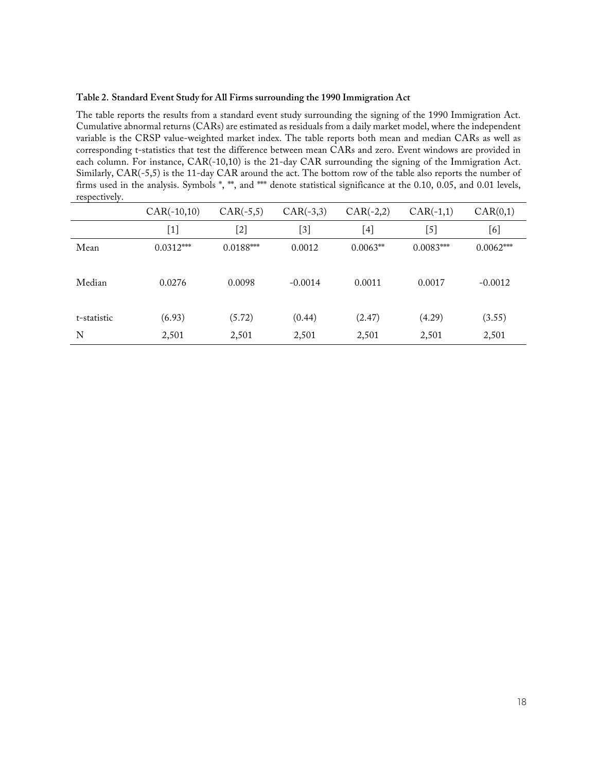#### **Table 2. Standard Event Study for All Firms surrounding the 1990 Immigration Act**

The table reports the results from a standard event study surrounding the signing of the 1990 Immigration Act. Cumulative abnormal returns (CARs) are estimated as residuals from a daily market model, where the independent variable is the CRSP value-weighted market index. The table reports both mean and median CARs as well as corresponding t-statistics that test the difference between mean CARs and zero. Event windows are provided in each column. For instance, CAR(-10,10) is the 21-day CAR surrounding the signing of the Immigration Act. Similarly, CAR(-5,5) is the 11-day CAR around the act. The bottom row of the table also reports the number of firms used in the analysis. Symbols \*, \*\*, and \*\*\* denote statistical significance at the 0.10, 0.05, and 0.01 levels, respectively.

|             | $CAR(-10,10)$ | $CAR(-5,5)$ | $CAR(-3,3)$ | $CAR(-2,2)$ | $CAR(-1,1)$ | CAR(0,1)    |
|-------------|---------------|-------------|-------------|-------------|-------------|-------------|
|             | [1]           | [2]         | [3]         | $^{[4]}$    | $[5]$       | [6]         |
| Mean        | $0.0312***$   | $0.0188***$ | 0.0012      | $0.0063**$  | $0.0083***$ | $0.0062***$ |
| Median      | 0.0276        | 0.0098      | $-0.0014$   | 0.0011      | 0.0017      | $-0.0012$   |
| t-statistic | (6.93)        | (5.72)      | (0.44)      | (2.47)      | (4.29)      | (3.55)      |
| N           | 2,501         | 2,501       | 2,501       | 2,501       | 2,501       | 2,501       |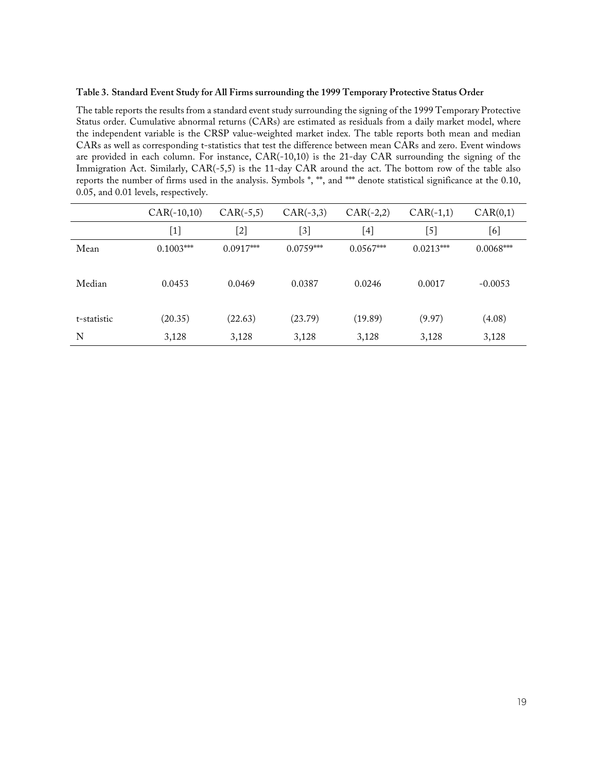#### **Table 3. Standard Event Study for All Firms surrounding the 1999 Temporary Protective Status Order**

The table reports the results from a standard event study surrounding the signing of the 1999 Temporary Protective Status order. Cumulative abnormal returns (CARs) are estimated as residuals from a daily market model, where the independent variable is the CRSP value-weighted market index. The table reports both mean and median CARs as well as corresponding t-statistics that test the difference between mean CARs and zero. Event windows are provided in each column. For instance, CAR(-10,10) is the 21-day CAR surrounding the signing of the Immigration Act. Similarly, CAR(-5,5) is the 11-day CAR around the act. The bottom row of the table also reports the number of firms used in the analysis. Symbols \*, \*\*, and \*\*\* denote statistical significance at the 0.10, 0.05, and 0.01 levels, respectively.

|             | $CAR(-10,10)$ | $CAR(-5,5)$ | $CAR(-3,3)$                                                                                                                                                | $CAR(-2,2)$ | $CAR(-1,1)$      | CAR(0,1)    |
|-------------|---------------|-------------|------------------------------------------------------------------------------------------------------------------------------------------------------------|-------------|------------------|-------------|
|             | $[1]$         | [2]         | $[3] % \includegraphics[width=0.9\columnwidth]{figures/fig_1a} \caption{Schematic diagram of the top of the top of the top of the right.} \label{fig:1} %$ | $^{[4]}$    | $\left[5\right]$ | [6]         |
| Mean        | $0.1003***$   | $0.0917***$ | $0.0759***$                                                                                                                                                | $0.0567***$ | $0.0213***$      | $0.0068***$ |
| Median      | 0.0453        | 0.0469      | 0.0387                                                                                                                                                     | 0.0246      | 0.0017           | $-0.0053$   |
| t-statistic | (20.35)       | (22.63)     | (23.79)                                                                                                                                                    | (19.89)     | (9.97)           | (4.08)      |
| N           | 3,128         | 3,128       | 3,128                                                                                                                                                      | 3,128       | 3,128            | 3,128       |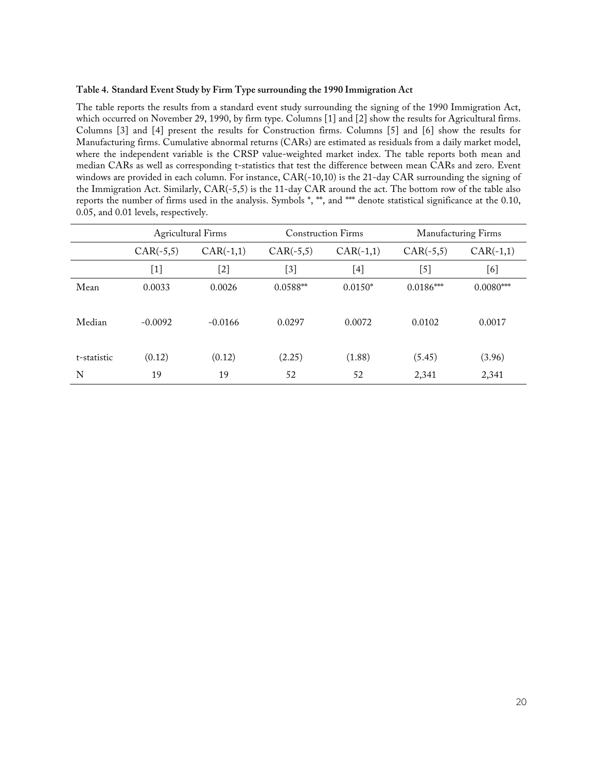#### **Table 4. Standard Event Study by Firm Type surrounding the 1990 Immigration Act**

The table reports the results from a standard event study surrounding the signing of the 1990 Immigration Act, which occurred on November 29, 1990, by firm type. Columns [1] and [2] show the results for Agricultural firms. Columns [3] and [4] present the results for Construction firms. Columns [5] and [6] show the results for Manufacturing firms. Cumulative abnormal returns (CARs) are estimated as residuals from a daily market model, where the independent variable is the CRSP value-weighted market index. The table reports both mean and median CARs as well as corresponding t-statistics that test the difference between mean CARs and zero. Event windows are provided in each column. For instance, CAR(-10,10) is the 21-day CAR surrounding the signing of the Immigration Act. Similarly, CAR(-5,5) is the 11-day CAR around the act. The bottom row of the table also reports the number of firms used in the analysis. Symbols \*, \*\*, and \*\*\* denote statistical significance at the 0.10, 0.05, and 0.01 levels, respectively.

|             | <b>Agricultural Firms</b> |             | <b>Construction Firms</b> |                  | Manufacturing Firms |             |
|-------------|---------------------------|-------------|---------------------------|------------------|---------------------|-------------|
|             | $CAR(-5,5)$               | $CAR(-1,1)$ | $CAR(-5,5)$               | $CAR(-1,1)$      | $CAR(-5,5)$         | $CAR(-1,1)$ |
|             | $[1]$                     | $[2]$       | $[3]$                     | $\left[4\right]$ | $^{[5]}$            | [6]         |
| Mean        | 0.0033                    | 0.0026      | 0.0588**                  | $0.0150*$        | $0.0186***$         | $0.0080***$ |
| Median      | $-0.0092$                 | $-0.0166$   | 0.0297                    | 0.0072           | 0.0102              | 0.0017      |
| t-statistic | (0.12)                    | (0.12)      | (2.25)                    | (1.88)           | (5.45)              | (3.96)      |
| N           | 19                        | 19          | 52                        | 52               | 2,341               | 2,341       |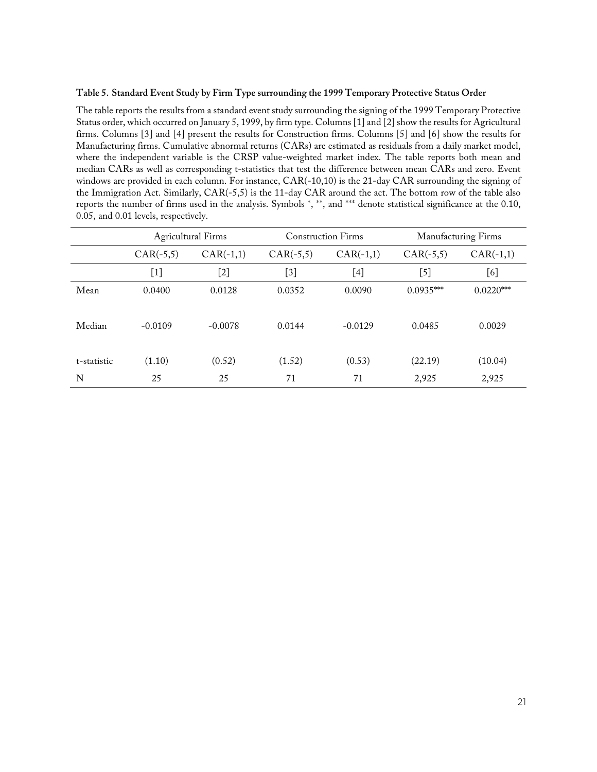### **Table 5. Standard Event Study by Firm Type surrounding the 1999 Temporary Protective Status Order**

The table reports the results from a standard event study surrounding the signing of the 1999 Temporary Protective Status order, which occurred on January 5, 1999, by firm type. Columns [1] and [2] show the results for Agricultural firms. Columns [3] and [4] present the results for Construction firms. Columns [5] and [6] show the results for Manufacturing firms. Cumulative abnormal returns (CARs) are estimated as residuals from a daily market model, where the independent variable is the CRSP value-weighted market index. The table reports both mean and median CARs as well as corresponding t-statistics that test the difference between mean CARs and zero. Event windows are provided in each column. For instance, CAR(-10,10) is the 21-day CAR surrounding the signing of the Immigration Act. Similarly, CAR(-5,5) is the 11-day CAR around the act. The bottom row of the table also reports the number of firms used in the analysis. Symbols \*, \*\*, and \*\*\* denote statistical significance at the 0.10, 0.05, and 0.01 levels, respectively.

|             | <b>Agricultural Firms</b>                                                                                                                                                                                                                                                                                              |             |             | <b>Construction Firms</b> | Manufacturing Firms |             |
|-------------|------------------------------------------------------------------------------------------------------------------------------------------------------------------------------------------------------------------------------------------------------------------------------------------------------------------------|-------------|-------------|---------------------------|---------------------|-------------|
|             | $CAR(-5,5)$                                                                                                                                                                                                                                                                                                            | $CAR(-1,1)$ | $CAR(-5,5)$ | $CAR(-1,1)$               | $CAR(-5,5)$         | $CAR(-1,1)$ |
|             | $[1] % \includegraphics[width=0.9\columnwidth]{figures/fig_1a} \caption{The figure shows the number of times on the right, and the number of times on the right, respectively. The number of times on the right, the number of times on the right, and the number of times on the right, respectively.} \label{fig:2}$ | $[2]$       | [3]         | [4]                       | [5]                 | [6]         |
| Mean        | 0.0400                                                                                                                                                                                                                                                                                                                 | 0.0128      | 0.0352      | 0.0090                    | $0.0935***$         | $0.0220***$ |
| Median      | $-0.0109$                                                                                                                                                                                                                                                                                                              | $-0.0078$   | 0.0144      | $-0.0129$                 | 0.0485              | 0.0029      |
| t-statistic | (1.10)                                                                                                                                                                                                                                                                                                                 | (0.52)      | (1.52)      | (0.53)                    | (22.19)             | (10.04)     |
| N           | 25                                                                                                                                                                                                                                                                                                                     | 25          | 71          | 71                        | 2,925               | 2,925       |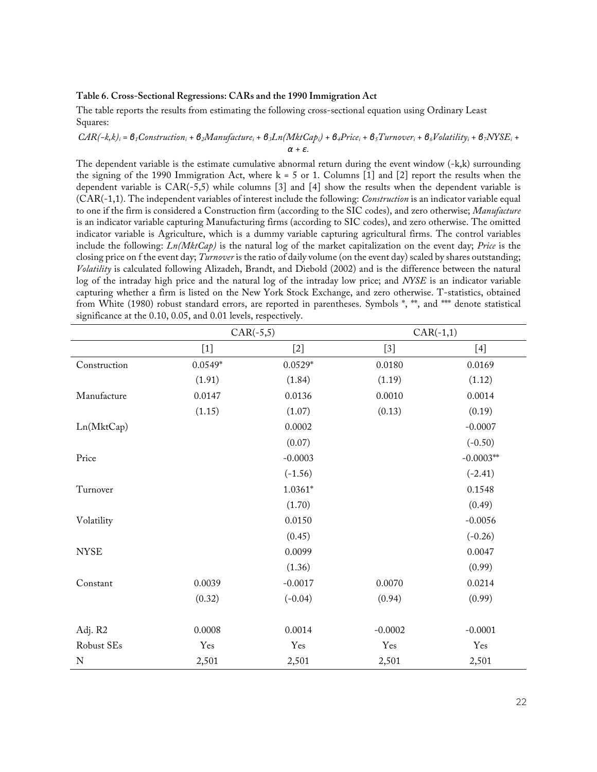#### **Table 6. Cross-Sectional Regressions: CARs and the 1990 Immigration Act**

The table reports the results from estimating the following cross-sectional equation using Ordinary Least Squares:

#### $CAR(-k, k)_i = \theta_1 Construction_i + \theta_2 Manuelacture_i + \theta_3Ln(MktCap_i) + \theta_4 Price_i + \theta_5 Turnover_i + \theta_6 Volatility_i + \theta_7 NYSE_i +$ *α + ε.*

The dependent variable is the estimate cumulative abnormal return during the event window (-k,k) surrounding the signing of the 1990 Immigration Act, where k = 5 or 1. Columns [1] and [2] report the results when the dependent variable is CAR(-5,5) while columns [3] and [4] show the results when the dependent variable is (CAR(-1,1). The independent variables of interest include the following: *Construction* is an indicator variable equal to one if the firm is considered a Construction firm (according to the SIC codes), and zero otherwise; *Manufacture* is an indicator variable capturing Manufacturing firms (according to SIC codes), and zero otherwise. The omitted indicator variable is Agriculture, which is a dummy variable capturing agricultural firms. The control variables include the following: *Ln(MktCap)* is the natural log of the market capitalization on the event day; *Price* is the closing price on f the event day; *Turnover* is the ratio of daily volume (on the event day) scaled by shares outstanding; *Volatility* is calculated following Alizadeh, Brandt, and Diebold (2002) and is the difference between the natural log of the intraday high price and the natural log of the intraday low price; and *NYSE* is an indicator variable capturing whether a firm is listed on the New York Stock Exchange, and zero otherwise. T-statistics, obtained from White (1980) robust standard errors, are reported in parentheses. Symbols \*, \*\*, and \*\*\* denote statistical significance at the 0.10, 0.05, and 0.01 levels, respectively.

|              | $CAR(-5,5)$ |           |           | $CAR(-1,1)$ |
|--------------|-------------|-----------|-----------|-------------|
|              | $[1]$       | $[2]$     | $[3]$     | $[4]$       |
| Construction | $0.0549*$   | $0.0529*$ | 0.0180    | 0.0169      |
|              | (1.91)      | (1.84)    | (1.19)    | (1.12)      |
| Manufacture  | 0.0147      | 0.0136    | 0.0010    | 0.0014      |
|              | (1.15)      | (1.07)    | (0.13)    | (0.19)      |
| Ln(MktCap)   |             | 0.0002    |           | $-0.0007$   |
|              |             | (0.07)    |           | $(-0.50)$   |
| Price        |             | $-0.0003$ |           | $-0.0003**$ |
|              |             | $(-1.56)$ |           | $(-2.41)$   |
| Turnover     |             | $1.0361*$ |           | 0.1548      |
|              |             | (1.70)    |           | (0.49)      |
| Volatility   |             | 0.0150    |           | $-0.0056$   |
|              |             | (0.45)    |           | $(-0.26)$   |
| <b>NYSE</b>  |             | 0.0099    |           | 0.0047      |
|              |             | (1.36)    |           | (0.99)      |
| Constant     | 0.0039      | $-0.0017$ | 0.0070    | 0.0214      |
|              | (0.32)      | $(-0.04)$ | (0.94)    | (0.99)      |
|              |             |           |           |             |
| Adj. R2      | 0.0008      | 0.0014    | $-0.0002$ | $-0.0001$   |
| Robust SEs   | Yes         | Yes       | Yes       | Yes         |
| $\mathbf N$  | 2,501       | 2,501     | 2,501     | 2,501       |